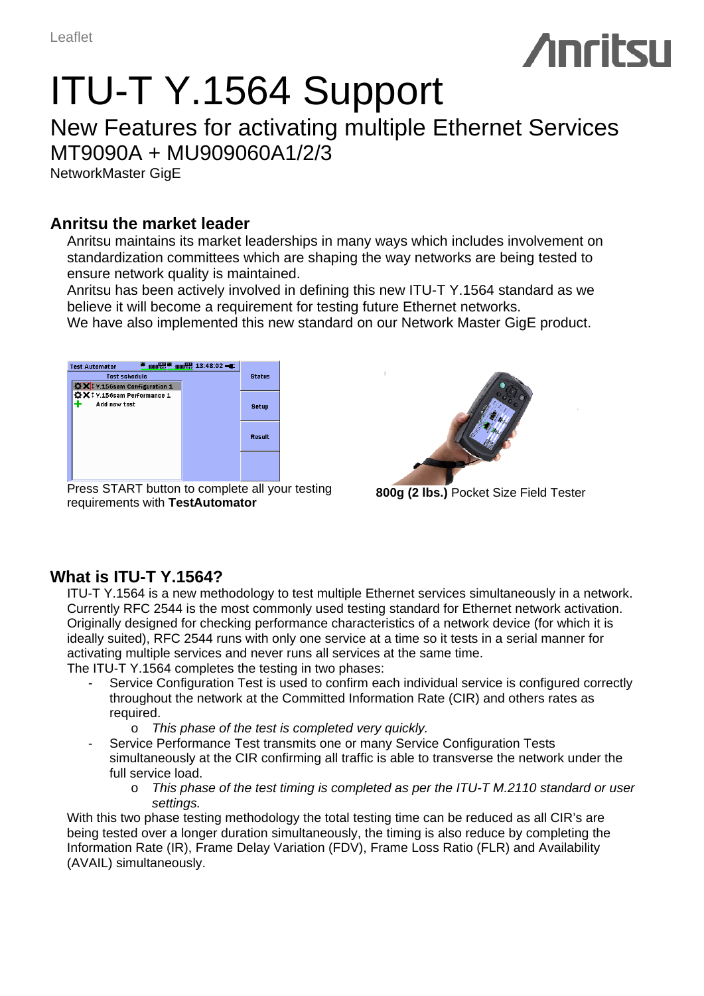# ITU-T Y.1564 Support

## New Features for activating multiple Ethernet Services MT9090A + MU909060A1/2/3

NetworkMaster GigE

#### **Anritsu the market leader**

Anritsu maintains its market leaderships in many ways which includes involvement on standardization committees which are shaping the way networks are being tested to ensure network quality is maintained.

Anritsu has been actively involved in defining this new ITU-T Y.1564 standard as we believe it will become a requirement for testing future Ethernet networks.

We have also implemented this new standard on our Network Master GigE product.



Press START button to complete all your testing requirements with **TestAutomator 800g (2 lbs.)** Pocket Size Field Tester



### **What is ITU-T Y.1564?**

ITU-T Y.1564 is a new methodology to test multiple Ethernet services simultaneously in a network. Currently RFC 2544 is the most commonly used testing standard for Ethernet network activation. Originally designed for checking performance characteristics of a network device (for which it is ideally suited), RFC 2544 runs with only one service at a time so it tests in a serial manner for activating multiple services and never runs all services at the same time.

The ITU-T Y.1564 completes the testing in two phases:

- Service Configuration Test is used to confirm each individual service is configured correctly throughout the network at the Committed Information Rate (CIR) and others rates as required.
	- o *This phase of the test is completed very quickly.*
- Service Performance Test transmits one or many Service Configuration Tests simultaneously at the CIR confirming all traffic is able to transverse the network under the full service load.
	- o *This phase of the test timing is completed as per the ITU-T M.2110 standard or user settings.*

With this two phase testing methodology the total testing time can be reduced as all CIR's are being tested over a longer duration simultaneously, the timing is also reduce by completing the Information Rate (IR), Frame Delay Variation (FDV), Frame Loss Ratio (FLR) and Availability (AVAIL) simultaneously.